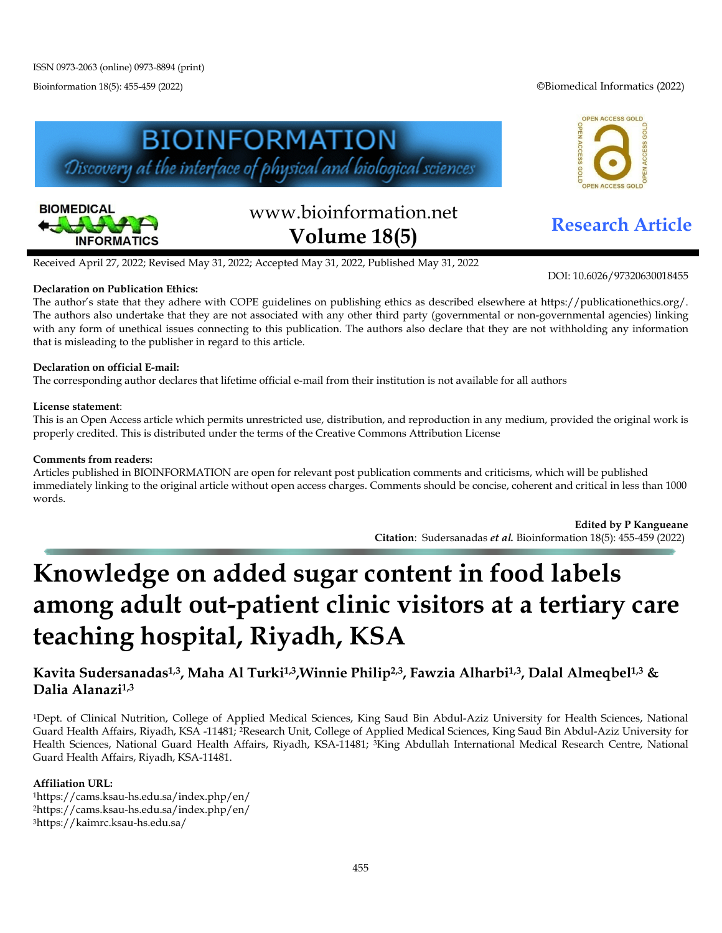Bioinformation 18(5): 455-459 (2022) ©Biomedical Informatics (2022)

OPEN ACCESS GOLD

ACCESS GO





# www.bioinformation.net **Research Article Volume 18(5)**

DOI: 10.6026/97320630018455

Received April 27, 2022; Revised May 31, 2022; Accepted May 31, 2022, Published May 31, 2022

### **Declaration on Publication Ethics:**

The author's state that they adhere with COPE guidelines on publishing ethics as described elsewhere at https://publicationethics.org/. The authors also undertake that they are not associated with any other third party (governmental or non-governmental agencies) linking with any form of unethical issues connecting to this publication. The authors also declare that they are not withholding any information that is misleading to the publisher in regard to this article.

### **Declaration on official E-mail:**

The corresponding author declares that lifetime official e-mail from their institution is not available for all authors

### **License statement**:

This is an Open Access article which permits unrestricted use, distribution, and reproduction in any medium, provided the original work is properly credited. This is distributed under the terms of the Creative Commons Attribution License

#### **Comments from readers:**

Articles published in BIOINFORMATION are open for relevant post publication comments and criticisms, which will be published immediately linking to the original article without open access charges. Comments should be concise, coherent and critical in less than 1000 words.

> **Edited by P Kangueane Citation**: Sudersanadas *et al.* Bioinformation 18(5): 455-459 (2022)

# **Knowledge on added sugar content in food labels among adult out-patient clinic visitors at a tertiary care teaching hospital, Riyadh, KSA**

## **Kavita Sudersanadas1,3, Maha Al Turki1,3,Winnie Philip2,3, Fawzia Alharbi1,3, Dalal Almeqbel1,3 & Dalia Alanazi1,3**

1Dept. of Clinical Nutrition, College of Applied Medical Sciences, King Saud Bin Abdul-Aziz University for Health Sciences, National Guard Health Affairs, Riyadh, KSA -11481; 2Research Unit, College of Applied Medical Sciences, King Saud Bin Abdul-Aziz University for Health Sciences, National Guard Health Affairs, Riyadh, KSA-11481; 3King Abdullah International Medical Research Centre, National Guard Health Affairs, Riyadh, KSA-11481.

### **Affiliation URL:**

1https://cams.ksau-hs.edu.sa/index.php/en/ 2https://cams.ksau-hs.edu.sa/index.php/en/ 3https://kaimrc.ksau-hs.edu.sa/

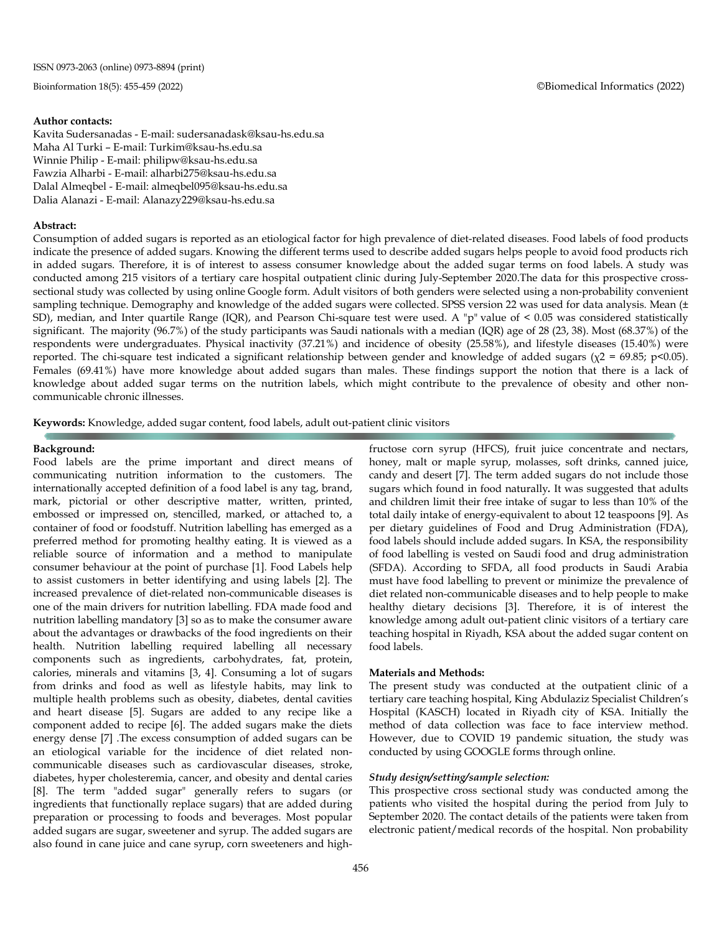#### **Author contacts:**

Kavita Sudersanadas - E-mail: sudersanadask@ksau-hs.edu.sa Maha Al Turki – E-mail: Turkim@ksau-hs.edu.sa Winnie Philip - E-mail: philipw@ksau-hs.edu.sa Fawzia Alharbi - E-mail: alharbi275@ksau-hs.edu.sa Dalal Almeqbel - E-mail: almeqbel095@ksau-hs.edu.sa Dalia Alanazi - E-mail: Alanazy229@ksau-hs.edu.sa

#### **Abstract:**

Consumption of added sugars is reported as an etiological factor for high prevalence of diet-related diseases. Food labels of food products indicate the presence of added sugars. Knowing the different terms used to describe added sugars helps people to avoid food products rich in added sugars. Therefore, it is of interest to assess consumer knowledge about the added sugar terms on food labels. A study was conducted among 215 visitors of a tertiary care hospital outpatient clinic during July-September 2020.The data for this prospective crosssectional study was collected by using online Google form. Adult visitors of both genders were selected using a non-probability convenient sampling technique. Demography and knowledge of the added sugars were collected. SPSS version 22 was used for data analysis. Mean (± SD), median, and Inter quartile Range (IQR), and Pearson Chi-square test were used. A "p" value of < 0.05 was considered statistically significant. The majority (96.7%) of the study participants was Saudi nationals with a median (IQR) age of 28 (23, 38). Most (68.37%) of the respondents were undergraduates. Physical inactivity (37.21%) and incidence of obesity (25.58%), and lifestyle diseases (15.40%) were reported. The chi-square test indicated a significant relationship between gender and knowledge of added sugars ( $χ$ 2 = 69.85; p<0.05). Females (69.41%) have more knowledge about added sugars than males. These findings support the notion that there is a lack of knowledge about added sugar terms on the nutrition labels, which might contribute to the prevalence of obesity and other noncommunicable chronic illnesses.

**Keywords:** Knowledge, added sugar content, food labels, adult out-patient clinic visitors

#### **Background:**

Food labels are the prime important and direct means of communicating nutrition information to the customers. The internationally accepted definition of a food label is any tag, brand, mark, pictorial or other descriptive matter, written, printed, embossed or impressed on, stencilled, marked, or attached to, a container of food or foodstuff. Nutrition labelling has emerged as a preferred method for promoting healthy eating. It is viewed as a reliable source of information and a method to manipulate consumer behaviour at the point of purchase [1]. Food Labels help to assist customers in better identifying and using labels [2]. The increased prevalence of diet-related non-communicable diseases is one of the main drivers for nutrition labelling. FDA made food and nutrition labelling mandatory [3] so as to make the consumer aware about the advantages or drawbacks of the food ingredients on their health. Nutrition labelling required labelling all necessary components such as ingredients, carbohydrates, fat, protein, calories, minerals and vitamins [3, 4]. Consuming a lot of sugars from drinks and food as well as lifestyle habits, may link to multiple health problems such as obesity, diabetes, dental cavities and heart disease [5]. Sugars are added to any recipe like a component added to recipe [6]. The added sugars make the diets energy dense [7] .The excess consumption of added sugars can be an etiological variable for the incidence of diet related noncommunicable diseases such as cardiovascular diseases, stroke, diabetes, hyper cholesteremia, cancer, and obesity and dental caries [8]. The term "added sugar" generally refers to sugars (or ingredients that functionally replace sugars) that are added during preparation or processing to foods and beverages. Most popular added sugars are sugar, sweetener and syrup. The added sugars are also found in cane juice and cane syrup, corn sweeteners and high-

fructose corn syrup (HFCS), fruit juice concentrate and nectars, honey, malt or maple syrup, molasses, soft drinks, canned juice, candy and desert [7]. The term added sugars do not include those sugars which found in food naturally*.* It was suggested that adults and children limit their free intake of sugar to less than 10% of the total daily intake of energy-equivalent to about 12 teaspoons [9]. As per dietary guidelines of Food and Drug Administration (FDA), food labels should include added sugars. In KSA, the responsibility of food labelling is vested on Saudi food and drug administration (SFDA). According to SFDA, all food products in Saudi Arabia must have food labelling to prevent or minimize the prevalence of diet related non-communicable diseases and to help people to make healthy dietary decisions [3]. Therefore, it is of interest the knowledge among adult out-patient clinic visitors of a tertiary care teaching hospital in Riyadh, KSA about the added sugar content on food labels.

#### **Materials and Methods:**

The present study was conducted at the outpatient clinic of a tertiary care teaching hospital, King Abdulaziz Specialist Children's Hospital (KASCH) located in Riyadh city of KSA. Initially the method of data collection was face to face interview method. However, due to COVID 19 pandemic situation, the study was conducted by using GOOGLE forms through online.

#### *Study design/setting/sample selection:*

This prospective cross sectional study was conducted among the patients who visited the hospital during the period from July to September 2020. The contact details of the patients were taken from electronic patient/medical records of the hospital. Non probability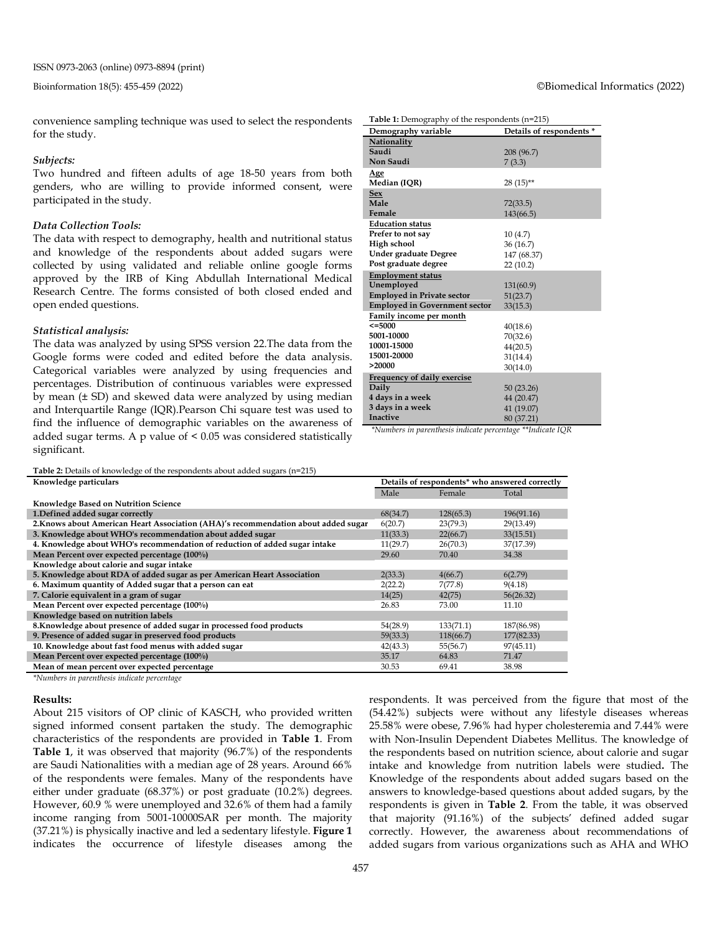convenience sampling technique was used to select the respondents **Table 1:** Demography of the respondents (n=215)

> **Nationality Saudi Non Saudi**

**Education status Prefer to not say High school** 

**Under graduate Degree Post graduate degree** 

**Employed in Private sector Employed in Government sector**

**Family income per month**

**Frequency of daily exercise**

**Employment status Unemployed**

**<=5000 5001-10000 10001-15000 15001-20000 >20000**

**Daily 4 days in a week 3 days in a week Inactive**

**Age** 

**Sex Male Female**

#### *Subjects:*

for the study.

Two hundred and fifteen adults of age 18-50 years from both genders, who are willing to provide informed consent, were participated in the study.

#### *Data Collection Tools:*

The data with respect to demography, health and nutritional status and knowledge of the respondents about added sugars were collected by using validated and reliable online google forms approved by the IRB of King Abdullah International Medical Research Centre. The forms consisted of both closed ended and open ended questions.

#### *Statistical analysis:*

The data was analyzed by using SPSS version 22.The data from the Google forms were coded and edited before the data analysis. Categorical variables were analyzed by using frequencies and percentages. Distribution of continuous variables were expressed by mean (± SD) and skewed data were analyzed by using median and Interquartile Range (IQR).Pearson Chi square test was used to find the influence of demographic variables on the awareness of added sugar terms. A p value of < 0.05 was considered statistically significant.

**Table 2:** Details of knowledge of the respondents about added sugars (n=215)

| Details of respondents <sup>*</sup> who answered correctly |           |            |
|------------------------------------------------------------|-----------|------------|
| Male                                                       | Female    | Total      |
|                                                            |           |            |
| 68(34.7)                                                   | 128(65.3) | 196(91.16) |
| 6(20.7)                                                    | 23(79.3)  | 29(13.49)  |
| 11(33.3)                                                   | 22(66.7)  | 33(15.51)  |
| 11(29.7)                                                   | 26(70.3)  | 37(17.39)  |
| 29.60                                                      | 70.40     | 34.38      |
|                                                            |           |            |
| 2(33.3)                                                    | 4(66.7)   | 6(2.79)    |
| 2(22.2)                                                    | 7(77.8)   | 9(4.18)    |
| 14(25)                                                     | 42(75)    | 56(26.32)  |
| 26.83                                                      | 73.00     | 11.10      |
|                                                            |           |            |
| 54(28.9)                                                   | 133(71.1) | 187(86.98) |
| 59(33.3)                                                   | 118(66.7) | 177(82.33) |
| 42(43.3)                                                   | 55(56.7)  | 97(45.11)  |
| 35.17                                                      | 64.83     | 71.47      |
| 30.53                                                      | 69.41     | 38.98      |
|                                                            |           |            |

*\*Numbers in parenthesis indicate percentage*

#### **Results:**

About 215 visitors of OP clinic of KASCH, who provided written signed informed consent partaken the study. The demographic characteristics of the respondents are provided in **Table 1**. From **Table 1**, it was observed that majority (96.7%) of the respondents are Saudi Nationalities with a median age of 28 years. Around 66% of the respondents were females. Many of the respondents have either under graduate (68.37%) or post graduate (10.2%) degrees. However, 60.9 % were unemployed and 32.6% of them had a family income ranging from 5001-10000SAR per month. The majority (37.21%) is physically inactive and led a sedentary lifestyle. **Figure 1** indicates the occurrence of lifestyle diseases among the respondents. It was perceived from the figure that most of the (54.42%) subjects were without any lifestyle diseases whereas 25.58% were obese, 7.96% had hyper cholesteremia and 7.44% were with Non-Insulin Dependent Diabetes Mellitus. The knowledge of the respondents based on nutrition science, about calorie and sugar intake and knowledge from nutrition labels were studied**.** The Knowledge of the respondents about added sugars based on the answers to knowledge-based questions about added sugars, by the respondents is given in **Table 2**. From the table, it was observed that majority (91.16%) of the subjects' defined added sugar correctly. However, the awareness about recommendations of added sugars from various organizations such as AHA and WHO

#### Bioinformation 18(5): 455-459 (2022) ©Biomedical Informatics (2022)

**Demography variable Details of respondents \***

**Median (IQR)** 28 (15)\*\*

208 (96.7) 7 (3.3)

72(33.5) 143(66.5)

10 (4.7) 36 (16.7) 147 (68.37) 22 (10.2)

131(60.9) 51(23.7) 33(15.3)

40(18.6) 70(32.6) 44(20.5) 31(14.4) 30(14.0)

50 (23.26) 44 (20.47) 41 (19.07) 80 (37.21)

*\*Numbers in parenthesis indicate percentage \*\*Indicate IQR*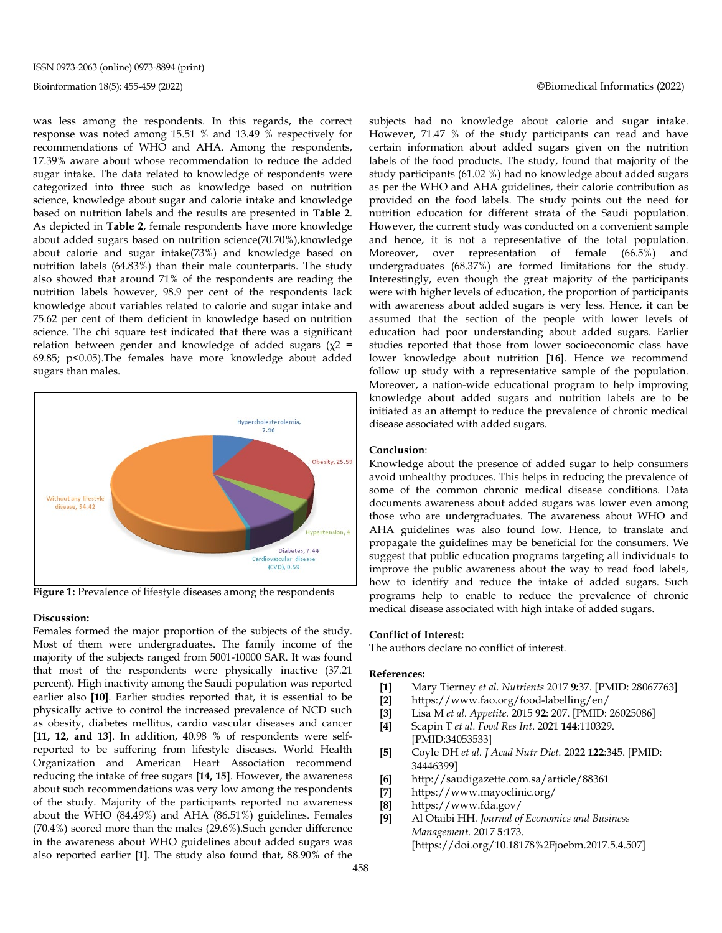was less among the respondents. In this regards, the correct response was noted among 15.51 % and 13.49 % respectively for recommendations of WHO and AHA. Among the respondents, 17.39% aware about whose recommendation to reduce the added sugar intake. The data related to knowledge of respondents were categorized into three such as knowledge based on nutrition science, knowledge about sugar and calorie intake and knowledge based on nutrition labels and the results are presented in **Table 2**. As depicted in **Table 2**, female respondents have more knowledge about added sugars based on nutrition science(70.70%),knowledge about calorie and sugar intake(73%) and knowledge based on nutrition labels (64.83%) than their male counterparts. The study also showed that around 71% of the respondents are reading the nutrition labels however, 98.9 per cent of the respondents lack knowledge about variables related to calorie and sugar intake and 75.62 per cent of them deficient in knowledge based on nutrition science. The chi square test indicated that there was a significant relation between gender and knowledge of added sugars ( $\chi$ 2 = 69.85; p<0.05).The females have more knowledge about added sugars than males.



**Figure 1:** Prevalence of lifestyle diseases among the respondents

#### **Discussion:**

Females formed the major proportion of the subjects of the study. Most of them were undergraduates. The family income of the majority of the subjects ranged from 5001-10000 SAR. It was found that most of the respondents were physically inactive (37.21 percent). High inactivity among the Saudi population was reported earlier also **[10]**. Earlier studies reported that, it is essential to be physically active to control the increased prevalence of NCD such as obesity, diabetes mellitus, cardio vascular diseases and cancer **[11, 12, and 13]**. In addition, 40.98 % of respondents were selfreported to be suffering from lifestyle diseases. World Health Organization and American Heart Association recommend reducing the intake of free sugars **[14, 15]**. However, the awareness about such recommendations was very low among the respondents of the study. Majority of the participants reported no awareness about the WHO (84.49%) and AHA (86.51%) guidelines. Females (70.4%) scored more than the males (29.6%).Such gender difference in the awareness about WHO guidelines about added sugars was also reported earlier **[1]**. The study also found that, 88.90% of the subjects had no knowledge about calorie and sugar intake. However, 71.47 % of the study participants can read and have certain information about added sugars given on the nutrition labels of the food products. The study, found that majority of the study participants (61.02 %) had no knowledge about added sugars as per the WHO and AHA guidelines, their calorie contribution as provided on the food labels. The study points out the need for nutrition education for different strata of the Saudi population. However, the current study was conducted on a convenient sample and hence, it is not a representative of the total population. Moreover, over representation of female (66.5%) and undergraduates (68.37%) are formed limitations for the study. Interestingly, even though the great majority of the participants were with higher levels of education, the proportion of participants with awareness about added sugars is very less. Hence, it can be assumed that the section of the people with lower levels of education had poor understanding about added sugars. Earlier studies reported that those from lower socioeconomic class have lower knowledge about nutrition **[16]**. Hence we recommend follow up study with a representative sample of the population. Moreover, a nation-wide educational program to help improving knowledge about added sugars and nutrition labels are to be initiated as an attempt to reduce the prevalence of chronic medical disease associated with added sugars.

#### **Conclusion**:

Knowledge about the presence of added sugar to help consumers avoid unhealthy produces. This helps in reducing the prevalence of some of the common chronic medical disease conditions. Data documents awareness about added sugars was lower even among those who are undergraduates. The awareness about WHO and AHA guidelines was also found low. Hence, to translate and propagate the guidelines may be beneficial for the consumers. We suggest that public education programs targeting all individuals to improve the public awareness about the way to read food labels, how to identify and reduce the intake of added sugars. Such programs help to enable to reduce the prevalence of chronic medical disease associated with high intake of added sugars.

#### **Conflict of Interest:**

The authors declare no conflict of interest.

#### **References:**

- **[1]** Mary Tierney *et al. Nutrients* 2017 **9***:*37. [PMID: 28067763]
- **[2]** https://www.fao.org/food-labelling/en/
- **[3]** [Lisa M](https://www.ncbi.nlm.nih.gov/pubmed/?term=Soederberg%20Miller%20LM%5BAuthor%5D&cauthor=true&cauthor_uid=26025086) *et al. [Appetite.](https://www.ncbi.nlm.nih.gov/pubmed/?term=Soederberg%20Miller%20LM%5BAuthor%5D&cauthor=true&cauthor_uid=26025086)* 2015 **92**: 207. [PMID: 26025086]
- **[4]** Scapin T *et al. Food Res Int*. 2021 **144**:110329. [PMID:34053533]
- **[5]** Coyle DH *et al. J Acad Nutr Diet.* 2022 **122**:345. [PMID: 34446399]
- **[6]** http://saudigazette.com.sa/article/88361
- **[7]** https://www.mayoclinic.org/
- **[8]** https://www.fda.gov/
- **[9]** Al Otaibi HH*. Journal of Economics and Business Management.* 2017 **5**:173. [https://doi.org/10.18178%2Fjoebm.2017.5.4.507]